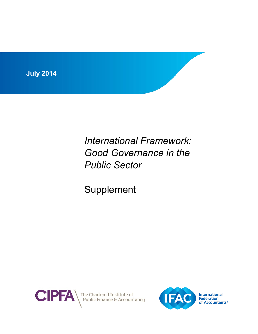

*International Framework: Good Governance in the Public Sector*

Supplement



The Chartered Institute of<br>Public Finance & Accountancy

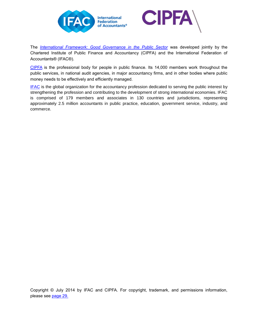



The *International Framework: [Good Governance in the Public Sector](https://www.ifac.org/publications-resources/international-framework-good-governance-public-sector)* was developed jointly by the Chartered Institute of Public Finance and Accountancy (CIPFA) and the International Federation of Accountants® (IFAC®).

[CIPFA](http://www.cipfa.org/) is the professional body for people in public finance. Its 14,000 members work throughout the public services, in national audit agencies, in major accountancy firms, and in other bodies where public money needs to be effectively and efficiently managed.

[IFAC](http://www.ifac.org/) is the global organization for the accountancy profession dedicated to serving the public interest by strengthening the profession and contributing to the development of strong international economies. IFAC is comprised of 179 members and associates in 130 countries and jurisdictions, representing approximately 2.5 million accountants in public practice, education, government service, industry, and commerce.

Copyright © July 2014 by IFAC and CIPFA. For copyright, trademark, and permissions information, please see [page 29.](#page-29-0)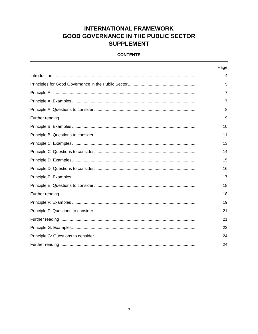# **INTERNATIONAL FRAMEWORK GOOD GOVERNANCE IN THE PUBLIC SECTOR SUPPLEMENT**

### **CONTENTS**

| Page |
|------|
| 4    |
| 5    |
| 7    |
| 7    |
| 8    |
| 9    |
| 10   |
| 11   |
| 13   |
| 14   |
| 15   |
| 16   |
| 17   |
| 18   |
| 18   |
| 19   |
| 21   |
| 21   |
| 23   |
| 24   |
| 24   |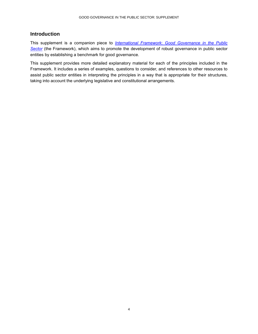### <span id="page-3-0"></span>**Introduction**

This supplement is a companion piece to *International Framework*: *[Good Governance in the Public](https://www.ifac.org/publications-resources/international-framework-good-governance-public-sector)*  **[Sector](https://www.ifac.org/publications-resources/international-framework-good-governance-public-sector)** (the Framework), which aims to promote the development of robust governance in public sector entities by establishing a benchmark for good governance.

This supplement provides more detailed explanatory material for each of the principles included in the Framework. It includes a series of examples, questions to consider, and references to other resources to assist public sector entities in interpreting the principles in a way that is appropriate for their structures, taking into account the underlying legislative and constitutional arrangements.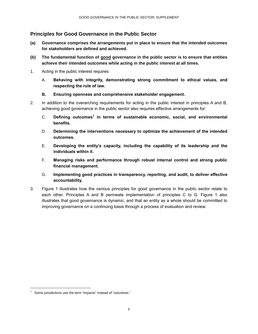### <span id="page-4-0"></span>**Principles for Good Governance in the Public Sector**

- **(a) Governance comprises the arrangements put in place to ensure that the intended outcomes for stakeholders are defined and achieved.**
- **(b) The fundamental function of good governance in the public sector is to ensure that entities achieve their intended outcomes while acting in the public interest at all times.**
- 1. Acting in the public interest requires:
	- A. **Behaving with integrity, demonstrating strong commitment to ethical values, and respecting the rule of law.**
	- **B. Ensuring openness and comprehensive stakeholder engagement.**
- 2. In addition to the overarching requirements for acting in the public interest in principles A and B, achieving good governance in the public sector also requires effective arrangements for:
	- C. **Defining outcomes<sup>1</sup> in terms of sustainable economic, social, and environmental benefits.**
	- D. **Determining the interventions necessary to optimize the achievement of the intended outcomes.**
	- E. **Developing the entity's capacity, including the capability of its leadership and the individuals within it.**
	- F. **Managing risks and performance through robust internal control and strong public financial management.**
	- G. **Implementing good practices in transparency, reporting, and audit, to deliver effective accountability.**
- 3. Figure 1 illustrates how the various principles for good governance in the public sector relate to each other. Principles A and B permeate implementation of principles C to G. Figure 1 also illustrates that good governance is dynamic, and that an entity as a whole should be committed to improving governance on a continuing basis through a process of evaluation and review.

l

Some jurisdictions use the term "impacts" instead of "outcomes."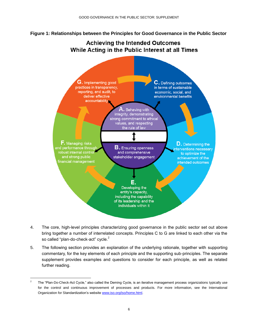**Figure 1: Relationships between the Principles for Good Governance in the Public Sector**

# **Achieving the Intended Outcomes** While Acting in the Public Interest at all Times



- 4. The core, high-level principles characterizing good governance in the public sector set out above bring together a number of interrelated concepts. Principles C to G are linked to each other via the so called "plan-do-check-act" cycle.<sup>2</sup>
- 5. The following section provides an explanation of the underlying rationale, together with supporting commentary, for the key elements of each principle and the supporting sub-principles. The separate supplement provides examples and questions to consider for each principle, as well as related further reading.

l

<sup>2</sup> The "Plan-Do-Check-Act Cycle," also called the Deming Cycle, is an iterative management process organizations typically use for the control and continuous improvement of processes and products. For more information, see the International Organization for Standardization's website [www.iso.org/iso/home.html.](http://www.iso.org/iso/home.html)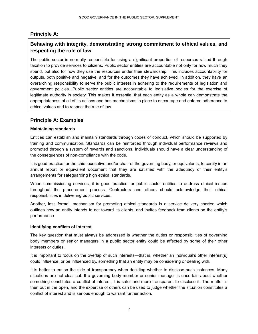### <span id="page-6-0"></span>**Principle A:**

## **Behaving with integrity, demonstrating strong commitment to ethical values, and respecting the rule of law**

The public sector is normally responsible for using a significant proportion of resources raised through taxation to provide services to citizens. Public sector entities are accountable not only for how much they spend, but also for how they use the resources under their stewardship. This includes accountability for outputs, both positive and negative, and for the outcomes they have achieved. In addition, they have an overarching responsibility to serve the public interest in adhering to the requirements of legislation and government policies. Public sector entities are accountable to legislative bodies for the exercise of legitimate authority in society. This makes it essential that each entity as a whole can demonstrate the appropriateness of all of its actions and has mechanisms in place to encourage and enforce adherence to ethical values and to respect the rule of law.

### <span id="page-6-1"></span>**Principle A: Examples**

#### **Maintaining standards**

Entities can establish and maintain standards through codes of conduct, which should be supported by training and communication. Standards can be reinforced through individual performance reviews and promoted through a system of rewards and sanctions. Individuals should have a clear understanding of the consequences of non-compliance with the code.

It is good practice for the chief executive and/or chair of the governing body, or equivalents, to certify in an annual report or equivalent document that they are satisfied with the adequacy of their entity's arrangements for safeguarding high ethical standards.

When commissioning services, it is good practice for public sector entities to address ethical issues throughout the procurement process. Contractors and others should acknowledge their ethical responsibilities in delivering public services.

Another, less formal, mechanism for promoting ethical standards is a service delivery charter, which outlines how an entity intends to act toward its clients, and invites feedback from clients on the entity's performance.

#### **Identifying conflicts of interest**

The key question that must always be addressed is whether the duties or responsibilities of governing body members or senior managers in a public sector entity could be affected by some of their other interests or duties.

It is important to focus on the overlap of such interests—that is, whether an individual's other interest(s) could influence, or be influenced by, something that an entity may be considering or dealing with.

It is better to err on the side of transparency when deciding whether to disclose such instances. Many situations are not clear-cut. If a governing body member or senior manager is uncertain about whether something constitutes a conflict of interest, it is safer and more transparent to disclose it. The matter is then out in the open, and the expertise of others can be used to judge whether the situation constitutes a conflict of interest and is serious enough to warrant further action.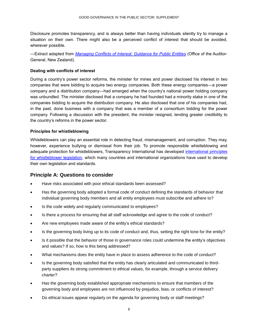Disclosure promotes transparency, and is always better than having individuals silently try to manage a situation on their own. There might also be a perceived conflict of interest that should be avoided, wherever possible.

—Extract adapted from *[Managing Conflicts of Interest: Guidance for Public Entities](http://www.oag.govt.nz/2007/conflicts-public-entities)* (Office of the Auditor-General, New Zealand).

### **Dealing with conflicts of interest**

During a country's power sector reforms, the minister for mines and power disclosed his interest in two companies that were bidding to acquire two energy companies. Both these energy companies—a power company and a distribution company—had emerged when the country's national power holding company was unbundled. The minister disclosed that a company he had founded had a minority stake in one of the companies bidding to acquire the distribution company. He also disclosed that one of his companies had, in the past, done business with a company that was a member of a consortium bidding for the power company. Following a discussion with the president, the minister resigned, lending greater credibility to the country's reforms in the power sector.

#### **Principles for whistleblowing**

Whistleblowers can play an essential role in detecting fraud, mismanagement, and corruption. They may, however, experience bullying or dismissal from their job. To promote responsible whistleblowing and adequate protection for whistleblowers, Transparency International has developed [international principles](http://www.transparency.org/files/content/activity/2009_PrinciplesForWhistleblowingLegislation_EN.pdf)  [for whistleblower legislation,](http://www.transparency.org/files/content/activity/2009_PrinciplesForWhistleblowingLegislation_EN.pdf) which many countries and international organizations have used to develop their own legislation and standards.

### <span id="page-7-0"></span>**Principle A: Questions to consider**

- Have risks associated with poor ethical standards been assessed?
- Has the governing body adopted a formal code of conduct defining the standards of behavior that individual governing body members and all entity employees must subscribe and adhere to?
- Is the code widely and regularly communicated to employees?
- Is there a process for ensuring that all staff acknowledge and agree to the code of conduct?
- Are new employees made aware of the entity's ethical standards?
- Is the governing body living up to its code of conduct and, thus, setting the right tone for the entity?
- Is it possible that the behavior of those in governance roles could undermine the entity's objectives and values? If so, how is this being addressed?
- What mechanisms does the entity have in place to assess adherence to the code of conduct?
- Is the governing body satisfied that the entity has clearly articulated and communicated to thirdparty suppliers its strong commitment to ethical values, for example, through a service delivery charter?
- Has the governing body established appropriate mechanisms to ensure that members of the governing body and employees are not influenced by prejudice, bias, or conflicts of interest?
- Do ethical issues appear regularly on the agenda for governing body or staff meetings?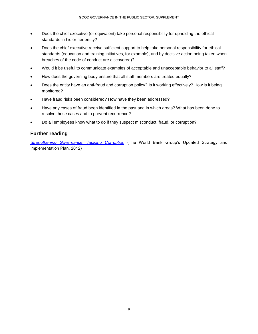- Does the chief executive (or equivalent) take personal responsibility for upholding the ethical standards in his or her entity?
- Does the chief executive receive sufficient support to help take personal responsibility for ethical standards (education and training initiatives, for example), and by decisive action being taken when breaches of the code of conduct are discovered)?
- Would it be useful to communicate examples of acceptable and unacceptable behavior to all staff?
- How does the governing body ensure that all staff members are treated equally?
- Does the entity have an anti-fraud and corruption policy? Is it working effectively? How is it being monitored?
- Have fraud risks been considered? How have they been addressed?
- Have any cases of fraud been identified in the past and in which areas? What has been done to resolve these cases and to prevent recurrence?
- <span id="page-8-0"></span>Do all employees know what to do if they suspect misconduct, fraud, or corruption?

### **Further reading**

*[Strengthening Governance: Tackling Corruption](http://web.worldbank.org/WBSITE/EXTERNAL/TOPICS/EXTGOVANTICORR/0,,contentMDK:23086675~menuPK:8517250~pagePK:148956~piPK:216618~theSitePK:3035864,00.html)* (The World Bank Group's Updated Strategy and Implementation Plan, 2012)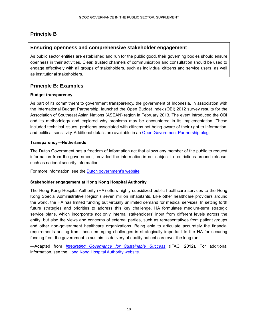### **Principle B**

### **Ensuring openness and comprehensive stakeholder engagement**

As public sector entities are established and run for the public good, their governing bodies should ensure openness in their activities. Clear, trusted channels of communication and consultation should be used to engage effectively with all groups of stakeholders, such as individual citizens and service users, as well as institutional stakeholders.

### <span id="page-9-0"></span>**Principle B: Examples**

#### **Budget transparency**

As part of its commitment to government transparency, the government of Indonesia, in association with the International Budget Partnership, launched the Open Budget Index (OBI) 2012 survey results for the Association of Southeast Asian Nations (ASEAN) region in February 2013. The event introduced the OBI and its methodology and explored why problems may be encountered in its implementation. These included technical issues, problems associated with citizens not being aware of their right to information, and political sensitivity. Additional details are available in an Open [Government Partnership blog.](http://www.opengovpartnership.org/blog/open-government-indonesia/2013/03/22/budget-openness-stories-asean)

#### **Transparency—Netherlands**

The Dutch Government has a freedom of information act that allows any member of the public to request information from the government, provided the information is not subject to restrictions around release, such as national security information.

For more information, see the [Dutch government's website.](http://www.rijksoverheid.nl/onderwerpen/kwaliteit-en-integriteit-overheidsinstanties/vraag-en-antwoord/wat-is-de-wet-openbaarheid-van-bestuur-wob.html)

### **Stakeholder engagement at Hong Kong Hospital Authority**

The Hong Kong Hospital Authority (HA) offers highly subsidized public healthcare services to the Hong Kong Special Administrative Region's seven million inhabitants. Like other healthcare providers around the world, the HA has limited funding but virtually unlimited demand for medical services. In setting forth future strategies and priorities to address this key challenge, HA formulates medium-term strategic service plans, which incorporate not only internal stakeholders' input from different levels across the entity, but also the views and concerns of external parties, such as representatives from patient groups and other non-government healthcare organizations. Being able to articulate accurately the financial requirements arising from these emerging challenges is strategically important to the HA for securing funding from the government to sustain its delivery of quality patient care over the long run.

—Adapted from *[Integrating Governance for Sustainable Success](http://www.ifac.org/publications-resources/integrating-governance-sustainable-success)* (IFAC, 2012). For additional information, see the [Hong Kong Hospital Authority](http://www.ha.org.hk/visitor/ha_index.asp) website.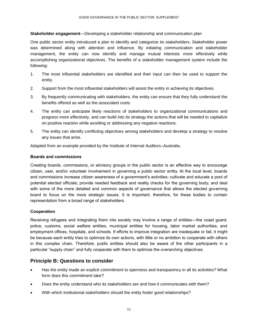#### **Stakeholder engagement**—Developing a stakeholder relationship and communication plan

One public sector entity introduced a plan to identify and categorize its stakeholders. Stakeholder power was determined along with attention and influence. By initiating communication and stakeholder management, the entity can now identify and manage mutual interests more effectively while accomplishing organizational objectives. The benefits of a stakeholder management system include the following:

- 1. The most influential stakeholders are identified and their input can then be used to support the entity.
- 2. Support from the most influential stakeholders will assist the entity in achieving its objectives.
- 3. By frequently communicating with stakeholders, the entity can ensure that they fully understand the benefits offered as well as the associated costs.
- 4. The entity can anticipate likely reactions of stakeholders to organizational communications and progress more effectively, and can build into its strategy the actions that will be needed to capitalize on positive reaction while avoiding or addressing any negative reactions.
- 5. The entity can identify conflicting objectives among stakeholders and develop a strategy to resolve any issues that arise.

Adapted from an example provided by the Institute of Internal Auditors–Australia.

#### **Boards and commissions**

Creating boards, commissions, or advisory groups in the public sector is an effective way to encourage citizen, user, and/or volunteer involvement in governing a public sector entity. At the local level, boards and commissions increase citizen awareness of a government's activities; cultivate and educate a pool of potential elected officials; provide needed feedback and reality checks for the governing body; and deal with some of the more detailed and common aspects of governance that allows the elected governing board to focus on the more strategic issues. It is important, therefore, for these bodies to contain representation from a broad range of stakeholders.

### **Cooperation**

Receiving refugees and integrating them into society may involve a range of entities—the coast guard, police, customs, social welfare entities, municipal entities for housing, labor market authorities, and employment offices, hospitals, and schools. If efforts to improve integration are inadequate or fail, it might be because each entity tries to optimize its own actions, with little or no ambition to cooperate with others in this complex chain. Therefore, public entities should also be aware of the other participants in a particular "supply chain" and fully cooperate with them to optimize the overarching objectives.

### <span id="page-10-0"></span>**Principle B: Questions to consider**

- Has the entity made an explicit commitment to openness and transparency in all its activities? What form does this commitment take?
- Does the entity understand who its stakeholders are and how it communicates with them?
- With which institutional stakeholders should the entity foster good relationships?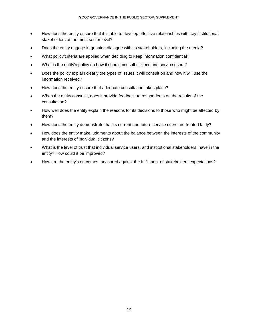- How does the entity ensure that it is able to develop effective relationships with key institutional stakeholders at the most senior level?
- Does the entity engage in genuine dialogue with its stakeholders, including the media?
- What policy/criteria are applied when deciding to keep information confidential?
- What is the entity's policy on how it should consult citizens and service users?
- Does the policy explain clearly the types of issues it will consult on and how it will use the information received?
- How does the entity ensure that adequate consultation takes place?
- When the entity consults, does it provide feedback to respondents on the results of the consultation?
- How well does the entity explain the reasons for its decisions to those who might be affected by them?
- How does the entity demonstrate that its current and future service users are treated fairly?
- How does the entity make judgments about the balance between the interests of the community and the interests of individual citizens?
- What is the level of trust that individual service users, and institutional stakeholders, have in the entity? How could it be improved?
- How are the entity's outcomes measured against the fulfillment of stakeholders expectations?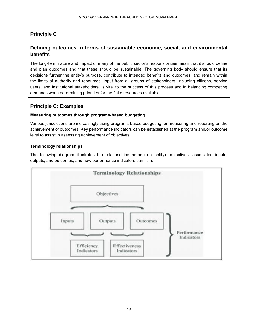## **Principle C**

## **Defining outcomes in terms of sustainable economic, social, and environmental benefits**

The long-term nature and impact of many of the public sector's responsibilities mean that it should define and plan outcomes and that these should be sustainable. The governing body should ensure that its decisions further the entity's purpose, contribute to intended benefits and outcomes, and remain within the limits of authority and resources. Input from all groups of stakeholders, including citizens, service users, and institutional stakeholders, is vital to the success of this process and in balancing competing demands when determining priorities for the finite resources available.

## <span id="page-12-0"></span>**Principle C: Examples**

### **Measuring outcomes through programs-based budgeting**

Various jurisdictions are increasingly using programs-based budgeting for measuring and reporting on the achievement of outcomes. Key performance indicators can be established at the program and/or outcome level to assist in assessing achievement of objectives.

### **Terminology relationships**

The following diagram illustrates the relationships among an entity's objectives, associated inputs, outputs, and outcomes, and how performance indicators can fit in.

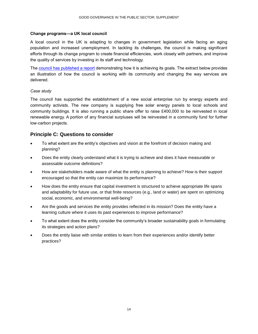#### **Change programs—a UK local council**

A local council in the UK is adapting to changes in government legislation while facing an aging population and increased unemployment. In tackling its challenges, the council is making significant efforts through its change program to create financial efficiencies, work closely with partners, and improve the quality of services by investing in its staff and technology.

The [council has published a report](http://www.bathnes.gov.uk/sites/default/files/sitedocuments/Your-Council/ChangeBrochure2014.pdf) demonstrating how it is achieving its goals. The extract below provides an illustration of how the council is working with its community and changing the way services are delivered.

#### *Case study*

The council has supported the establishment of a new social enterprise run by energy experts and community activists. The new company is supplying free solar energy panels to local schools and community buildings. It is also running a public share offer to raise £400,000 to be reinvested in local renewable energy. A portion of any financial surpluses will be reinvested in a community fund for further low-carbon projects.

### <span id="page-13-0"></span>**Principle C: Questions to consider**

- To what extent are the entity's objectives and vision at the forefront of decision making and planning?
- Does the entity clearly understand what it is trying to achieve and does it have measurable or assessable outcome definitions?
- How are stakeholders made aware of what the entity is planning to achieve? How is their support encouraged so that the entity can maximize its performance?
- How does the entity ensure that capital investment is structured to achieve appropriate life spans and adaptability for future use, or that finite resources (e.g., land or water) are spent on optimizing social, economic, and environmental well-being?
- Are the goods and services the entity provides reflected in its mission? Does the entity have a learning culture where it uses its past experiences to improve performance?
- To what extent does the entity consider the community's broader sustainability goals in formulating its strategies and action plans?
- Does the entity liaise with similar entities to learn from their experiences and/or identify better practices?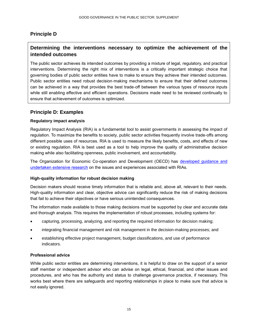### **Principle D**

## **Determining the interventions necessary to optimize the achievement of the intended outcomes**

The public sector achieves its intended outcomes by providing a mixture of legal, regulatory, and practical interventions. Determining the right mix of interventions is a critically important strategic choice that governing bodies of public sector entities have to make to ensure they achieve their intended outcomes. Public sector entities need robust decision-making mechanisms to ensure that their defined outcomes can be achieved in a way that provides the best trade-off between the various types of resource inputs while still enabling effective and efficient operations. Decisions made need to be reviewed continually to ensure that achievement of outcomes is optimized.

### <span id="page-14-0"></span>**Principle D: Examples**

### **Regulatory impact analysis**

Regulatory Impact Analysis (RIA) is a fundamental tool to assist governments in assessing the impact of regulation. To maximize the benefits to society, public sector activities frequently involve trade-offs among different possible uses of resources. RIA is used to measure the likely benefits, costs, and effects of new or existing regulation. RIA is best used as a tool to help improve the quality of administrative decision making while also facilitating openness, public involvement, and accountability.

The Organization for Economic Co-operation and Development (OECD) has [developed guidance and](http://www.oecd.org/gov/regulatory-policy/ria.htm)  [undertaken extensive research](http://www.oecd.org/gov/regulatory-policy/ria.htm) on the issues and experiences associated with RIAs.

#### **High-quality information for robust decision making**

Decision makers should receive timely information that is reliable and, above all, relevant to their needs. High-quality information and clear, objective advice can significantly reduce the risk of making decisions that fail to achieve their objectives or have serious unintended consequences.

The information made available to those making decisions must be supported by clear and accurate data and thorough analysis. This requires the implementation of robust processes, including systems for:

- capturing, processing, analyzing, and reporting the required information for decision making;
- integrating financial management and risk management in the decision-making processes; and
- establishing effective project management, budget classifications, and use of performance indicators.

### **Professional advice**

While public sector entities are determining interventions, it is helpful to draw on the support of a senior staff member or independent advisor who can advise on legal, ethical, financial, and other issues and procedures, and who has the authority and status to challenge governance practice, if necessary. This works best where there are safeguards and reporting relationships in place to make sure that advice is not easily ignored.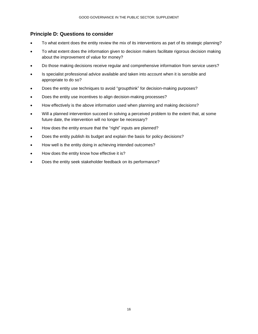### <span id="page-15-0"></span>**Principle D: Questions to consider**

- To what extent does the entity review the mix of its interventions as part of its strategic planning?
- To what extent does the information given to decision makers facilitate rigorous decision making about the improvement of value for money?
- Do those making decisions receive regular and comprehensive information from service users?
- Is specialist professional advice available and taken into account when it is sensible and appropriate to do so?
- Does the entity use techniques to avoid "groupthink" for decision-making purposes?
- Does the entity use incentives to align decision-making processes?
- How effectively is the above information used when planning and making decisions?
- Will a planned intervention succeed in solving a perceived problem to the extent that, at some future date, the intervention will no longer be necessary?
- How does the entity ensure that the "right" inputs are planned?
- Does the entity publish its budget and explain the basis for policy decisions?
- How well is the entity doing in achieving intended outcomes?
- How does the entity know how effective it is?
- Does the entity seek stakeholder feedback on its performance?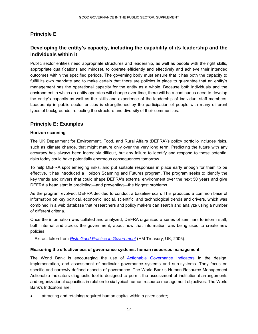## **Principle E**

## **Developing the entity's capacity, including the capability of its leadership and the individuals within it**

Public sector entities need appropriate structures and leadership, as well as people with the right skills, appropriate qualifications and mindset, to operate efficiently and effectively and achieve their intended outcomes within the specified periods. The governing body must ensure that it has both the capacity to fulfill its own mandate and to make certain that there are policies in place to guarantee that an entity's management has the operational capacity for the entity as a whole. Because both individuals and the environment in which an entity operates will change over time, there will be a continuous need to develop the entity's capacity as well as the skills and experience of the leadership of individual staff members. Leadership in public sector entities is strengthened by the participation of people with many different types of backgrounds, reflecting the structure and diversity of their communities.

### <span id="page-16-0"></span>**Principle E: Examples**

### **Horizon scanning**

The UK Department for Environment, Food, and Rural Affairs (DEFRA)'s policy portfolio includes risks, such as climate change, that might mature only over the very long term. Predicting the future with any accuracy has always been incredibly difficult, but any failure to identify and respond to these potential risks today could have potentially enormous consequences tomorrow.

To help DEFRA spot emerging risks, and put suitable responses in place early enough for them to be effective, it has introduced a Horizon Scanning and Futures program. The program seeks to identify the key trends and drivers that could shape DEFRA's external environment over the next 50 years and give DEFRA a head start in predicting—and preventing—the biggest problems.

As the program evolved, DEFRA decided to conduct a baseline scan. This produced a common base of information on key political, economic, social, scientific, and technological trends and drivers, which was combined in a web database that researchers and policy makers can search and analyze using a number of different criteria.

Once the information was collated and analyzed, DEFRA organized a series of seminars to inform staff, both internal and across the government, about how that information was being used to create new policies.

—Extract taken from *[Risk: Good Practice in Government](http://archive.rdec.gov.tw/public/Data/8514142502.pdf)* (HM Treasury, UK, 2006).

#### **Measuring the effectiveness of governance systems: human resources management**

The World Bank is encouraging the use of [Actionable Governance Indicators](http://www.agidata.org/site/SourceProfile.aspx?id=2) in the design, implementation, and assessment of particular governance systems and sub-systems. They focus on specific and narrowly defined aspects of governance. The World Bank's Human Resource Management Actionable Indicators diagnostic tool is designed to permit the assessment of institutional arrangements and organizational capacities in relation to six typical human resource management objectives. The World Bank's Indicators are:

attracting and retaining required human capital within a given cadre;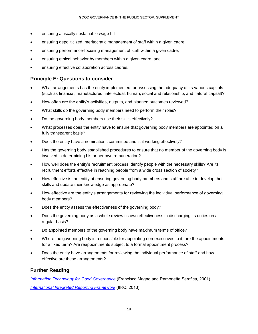- ensuring a fiscally sustainable wage bill;
- ensuring depoliticized, meritocratic management of staff within a given cadre;
- ensuring performance-focusing management of staff within a given cadre;
- ensuring ethical behavior by members within a given cadre; and
- <span id="page-17-0"></span>ensuring effective collaboration across cadres.

### **Principle E: Questions to consider**

- What arrangements has the entity implemented for assessing the adequacy of its various capitals (such as financial, manufactured, intellectual, human, social and relationship, and natural capital)?
- How often are the entity's activities, outputs, and planned outcomes reviewed?
- What skills do the governing body members need to perform their roles?
- Do the governing body members use their skills effectively?
- What processes does the entity have to ensure that governing body members are appointed on a fully transparent basis?
- Does the entity have a nominations committee and is it working effectively?
- Has the governing body established procedures to ensure that no member of the governing body is involved in determining his or her own remuneration?
- How well does the entity's recruitment process identify people with the necessary skills? Are its recruitment efforts effective in reaching people from a wide cross section of society?
- How effective is the entity at ensuring governing body members and staff are able to develop their skills and update their knowledge as appropriate?
- How effective are the entity's arrangements for reviewing the individual performance of governing body members?
- Does the entity assess the effectiveness of the governing body?
- Does the governing body as a whole review its own effectiveness in discharging its duties on a regular basis?
- Do appointed members of the governing body have maximum terms of office?
- Where the governing body is responsible for appointing non-executives to it, are the appointments for a fixed term? Are reappointments subject to a formal appointment process?
- Does the entity have arrangements for reviewing the individual performance of staff and how effective are these arrangements?

### <span id="page-17-1"></span>**Further Reading**

*[Information Technology for Good Governance](http://unpan1.un.org/intradoc/groups/public/documents/apcity/unpan002708.pdf)* (Francisco Magno and Ramonette Serafica, 2001) *[International Integrated Reporting Framework](http://www.theiirc.org/international-ir-framework/)* (IIRC, 2013)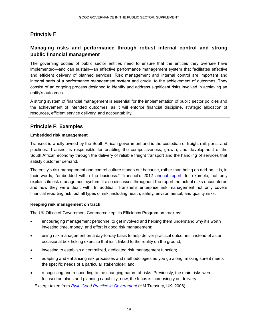## **Principle F**

## **Managing risks and performance through robust internal control and strong public financial management**

The governing bodies of public sector entities need to ensure that the entities they oversee have implemented—and can sustain—an effective performance management system that facilitates effective and efficient delivery of planned services. Risk management and internal control are important and integral parts of a performance management system and crucial to the achievement of outcomes. They consist of an ongoing process designed to identify and address significant risks involved in achieving an entity's outcomes.

A strong system of financial management is essential for the implementation of public sector policies and the achievement of intended outcomes, as it will enforce financial discipline, strategic allocation of resources, efficient service delivery, and accountability.

## <span id="page-18-0"></span>**Principle F: Examples**

### **Embedded risk management**

Transnet is wholly owned by the South African government and is the custodian of freight rail, ports, and pipelines. Transnet is responsible for enabling the competitiveness, growth, and development of the South African economy through the delivery of reliable freight transport and the handling of services that satisfy customer demand.

The entity's risk management and control culture stands out because, rather than being an add-on, it is, in their words, "embedded within the business." Transnet's 2012 [annual report,](http://overendstudio.co.za/online_reports/transnet_ar2012/pdf/volume1.pdf) for example, not only explains its risk management system, it also discusses throughout the report the actual risks encountered and how they were dealt with. In addition, Transnet's enterprise risk management not only covers financial reporting risk, but all types of risk, including health, safety, environmental, and quality risks.

### **Keeping risk management on track**

The UK Office of Government Commerce kept its Efficiency Program on track by:

- encouraging management personnel to get involved and helping them understand why it's worth investing time, money, and effort in good risk management;
- using risk management on a day-to-day basis to help deliver practical outcomes, instead of as an occasional box-ticking exercise that isn't linked to the reality on the ground;
- investing to establish a centralized, dedicated risk management function;
- adapting and enhancing risk processes and methodologies as you go along, making sure it meets the specific needs of a particular stakeholder; and
- recognizing and responding to the changing nature of risks. Previously, the main risks were focused on plans and planning capability; now, the focus is increasingly on delivery.

*—*Excerpt taken from *[Risk: Good Practice in Government](http://archive.rdec.gov.tw/public/Data/8514142502.pdf)* (HM Treasury, UK, 2006).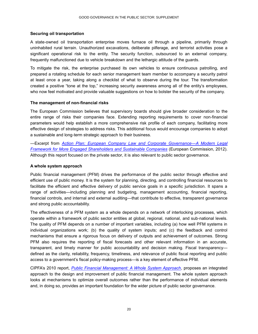#### **Securing oil transportation**

A state-owned oil transportation enterprise moves furnace oil through a pipeline, primarily through uninhabited rural terrain. Unauthorized excavations, deliberate pilferage, and terrorist activities pose a significant operational risk to the entity. The security function, outsourced to an external company, frequently malfunctioned due to vehicle breakdown and the lethargic attitude of the guards.

To mitigate the risk, the enterprise purchased its own vehicles to ensure continuous patrolling, and prepared a rotating schedule for each senior management team member to accompany a security patrol at least once a year, taking along a checklist of what to observe during the tour. The transformation created a positive "tone at the top," increasing security awareness among all of the entity's employees, who now feel motivated and provide valuable suggestions on how to bolster the security of the company.

#### **The management of non-financial risks**

The European Commission believes that supervisory boards should give broader consideration to the entire range of risks their companies face. Extending reporting requirements to cover non-financial parameters would help establish a more comprehensive risk profile of each company, facilitating more effective design of strategies to address risks. This additional focus would encourage companies to adopt a sustainable and long-term strategic approach to their business.

—Excerpt from *[Action Plan: European Company Law and Corporate Governance—A Modern Legal](http://ec.europa.eu/internal_market/company/modern/index_en.htm#actionplan2012)  [Framework for More Engaged Shareholders and Sustainable Companies](http://ec.europa.eu/internal_market/company/modern/index_en.htm#actionplan2012)* (European Commission, 2012). Although this report focused on the private sector, it is also relevant to public sector governance.

#### **A whole system approach**

Public financial management (PFM) drives the performance of the public sector through effective and efficient use of public money. It is the system for planning, directing, and controlling financial resources to facilitate the efficient and effective delivery of public service goals in a specific jurisdiction. It spans a range of activities—including planning and budgeting, management accounting, financial reporting, financial controls, and internal and external auditing—that contribute to effective, transparent governance and strong public accountability.

The effectiveness of a PFM system as a whole depends on a network of interlocking processes, which operate within a framework of public sector entities at global, regional, national, and sub-national levels. The quality of PFM depends on a number of important variables, including (a) how well PFM systems in individual organizations work; (b) the quality of system inputs; and (c) the feedback and control mechanisms that ensure a rigorous focus on delivery of outputs and achievement of outcomes. Strong PFM also requires the reporting of fiscal forecasts and other relevant information in an accurate, transparent, and timely manner for public accountability and decision making. Fiscal transparency defined as the clarity, reliability, frequency, timeliness, and relevance of public fiscal reporting and public access to a government's fiscal policy-making process—is a key element of effective PFM.

CIPFA's 2010 report, *[Public Financial Management: A Whole System Approach](http://www.cipfa.org/Policy-and-Guidance/Reports/Whole-System-Approach-Volume-1)*, proposes an integrated approach to the design and improvement of public financial management. The whole system approach looks at mechanisms to optimize overall outcomes rather than the performance of individual elements and, in doing so, provides an important foundation for the wider picture of public sector governance.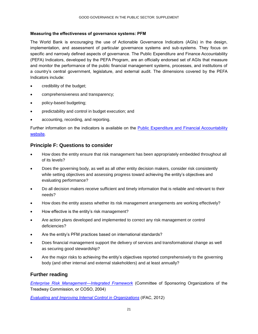### **Measuring the effectiveness of governance systems: PFM**

The World Bank is encouraging the use of Actionable Governance Indicators (AGIs) in the design, implementation, and assessment of particular governance systems and sub-systems. They focus on specific and narrowly defined aspects of governance. The Public Expenditure and Finance Accountability (PEFA) Indicators, developed by the PEFA Program, are an officially endorsed set of AGIs that measure and monitor the performance of the public financial management systems, processes, and institutions of a country's central government, legislature, and external audit. The dimensions covered by the PEFA Indicators include:

- credibility of the budget;
- comprehensiveness and transparency;
- policy-based budgeting;
- predictability and control in budget execution; and
- accounting, recording, and reporting.

Further information on the indicators is available on the [Public Expenditure and Financial Accountability](http://pefa.org/en/content/pefa-framework-material-1)  [website.](http://pefa.org/en/content/pefa-framework-material-1)

### <span id="page-20-0"></span>**Principle F: Questions to consider**

- How does the entity ensure that risk management has been appropriately embedded throughout all of its levels?
- Does the governing body, as well as all other entity decision makers, consider risk consistently while setting objectives and assessing progress toward achieving the entity's objectives and evaluating performance?
- Do all decision makers receive sufficient and timely information that is reliable and relevant to their needs?
- How does the entity assess whether its risk management arrangements are working effectively?
- How effective is the entity's risk management?
- Are action plans developed and implemented to correct any risk management or control deficiencies?
- Are the entity's PFM practices based on international standards?
- Does financial management support the delivery of services and transformational change as well as securing good stewardship?
- Are the major risks to achieving the entity's objectives reported comprehensively to the governing body (and other internal and external stakeholders) and at least annually?

### <span id="page-20-1"></span>**Further reading**

*[Enterprise Risk Management—Integrated Framework](http://www.coso.org/-erm.htm)* (Committee of Sponsoring Organizations of the Treadway Commission, or COSO, 2004)

*[Evaluating and Improving Internal Control in Organizations](http://www.ifac.org/news-events/2012-06/ifac-issues-new-guidance-help-organizations-improve-internal-control)* (IFAC, 2012)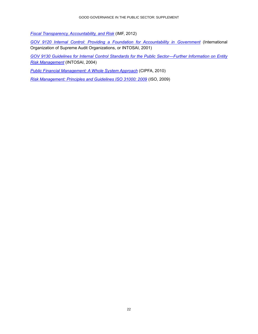*[Fiscal Transparency, Accountability, and Risk](http://www.imf.org/external/np/pp/eng/2012/080712.pdf)* (IMF, 2012)

*[GOV 9120 Internal Control: Providing a Foundation for Accountability in](http://www.intosai.org/issai-executive-summaries/view/article/intosai-gov-9120-internal-control-providing-a-foundation-for-accountability-in-government.html) Government* (International Organization of Supreme Audit Organizations, or INTOSAI, 2001)

*[GOV 9130 Guidelines for Internal Control Standards for the Public Sector—Further Information on Entity](http://www.intosai.org/issai-executive-summaries/view/article/intosai-gov-9130-guidelines-for-internal-control-standards-for-the-public-sector-further-inf.html)  [Risk Management](http://www.intosai.org/issai-executive-summaries/view/article/intosai-gov-9130-guidelines-for-internal-control-standards-for-the-public-sector-further-inf.html)* (INTOSAI, 2004)

*[Public Financial Management: A Whole System Approach](http://www.cipfa.org/Policy-and-Guidance/Reports/Whole-System-Approach-Volume-1)* (CIPFA, 2010)

*[Risk Management: Principles and Guidelines ISO 31000: 2009](http://www.iso.org/iso/home/standards/iso31000.htm)* (ISO, 2009)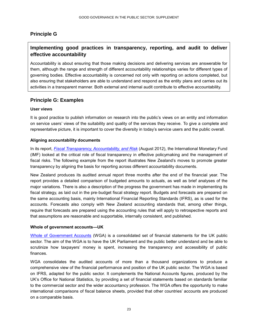### **Principle G**

## **Implementing good practices in transparency, reporting, and audit to deliver effective accountability**

Accountability is about ensuring that those making decisions and delivering services are answerable for them, although the range and strength of different accountability relationships varies for different types of governing bodies. Effective accountability is concerned not only with reporting on actions completed, but also ensuring that stakeholders are able to understand and respond as the entity plans and carries out its activities in a transparent manner. Both external and internal audit contribute to effective accountability.

### <span id="page-22-0"></span>**Principle G: Examples**

#### **User views**

It is good practice to publish information on research into the public's views on an entity and information on service users' views of the suitability and quality of the services they receive. To give a complete and representative picture, it is important to cover the diversity in today's service users and the public overall.

#### **Aligning accountability documents**

In its report, *[Fiscal Transparency, Accountability, and Risk](http://www.imf.org/external/np/pp/eng/2012/080712.pdf)* (August 2012), the International Monetary Fund (IMF) looked at the critical role of fiscal transparency in effective policymaking and the management of fiscal risks. The following example from the report illustrates New Zealand's moves to promote greater transparency by aligning the basis for reporting across different accountability documents.

New Zealand produces its audited annual report three months after the end of the financial year. The report provides a detailed comparison of budgeted amounts to actuals, as well as brief analyses of the major variations. There is also a description of the progress the government has made in implementing its fiscal strategy, as laid out in the pre-budget fiscal strategy report. Budgets and forecasts are prepared on the same accounting basis, mainly International Financial Reporting Standards (IFRS), as is used for the accounts. Forecasts also comply with New Zealand accounting standards that, among other things, require that forecasts are prepared using the accounting rules that will apply to retrospective reports and that assumptions are reasonable and supportable, internally consistent, and published.

#### **Whole of government accounts—UK**

[Whole of Government Accounts](https://www.gov.uk/government/publications/whole-of-government-accounts-2012-to-2013) (WGA) is a consolidated set of financial statements for the UK public sector. The aim of the WGA is to have the UK Parliament and the public better understand and be able to scrutinize how taxpayers' money is spent, increasing the transparency and accessibility of public finances.

WGA consolidates the audited accounts of more than a thousand organizations to produce a comprehensive view of the financial performance and position of the UK public sector. The WGA is based on IFRS, adapted for the public sector. It complements the National Accounts figures, produced by the UK's Office for National Statistics, by providing a set of financial statements based on standards familiar to the commercial sector and the wider accountancy profession. The WGA offers the opportunity to make international comparisons of fiscal balance sheets, provided that other countries' accounts are produced on a comparable basis.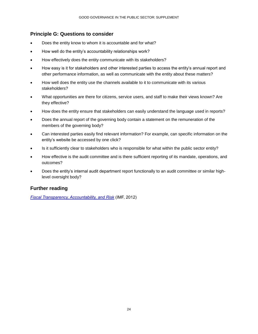### <span id="page-23-0"></span>**Principle G: Questions to consider**

- Does the entity know to whom it is accountable and for what?
- How well do the entity's accountability relationships work?
- How effectively does the entity communicate with its stakeholders?
- How easy is it for stakeholders and other interested parties to access the entity's annual report and other performance information, as well as communicate with the entity about these matters?
- How well does the entity use the channels available to it to communicate with its various stakeholders?
- What opportunities are there for citizens, service users, and staff to make their views known? Are they effective?
- How does the entity ensure that stakeholders can easily understand the language used in reports?
- Does the annual report of the governing body contain a statement on the remuneration of the members of the governing body?
- Can interested parties easily find relevant information? For example, can specific information on the entity's website be accessed by one click?
- Is it sufficiently clear to stakeholders who is responsible for what within the public sector entity?
- How effective is the audit committee and is there sufficient reporting of its mandate, operations, and outcomes?
- Does the entity's internal audit department report functionally to an audit committee or similar highlevel oversight body?

### <span id="page-23-1"></span>**Further reading**

*[Fiscal Transparency, Accountability, and Risk](http://www.imf.org/external/np/pp/eng/2012/080712.pdf)* (IMF, 2012)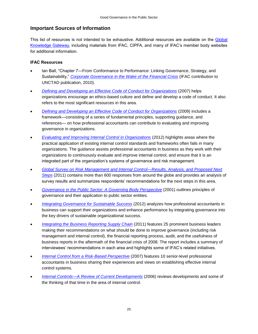### **Important Sources of Information**

This list of resources is not intended to be exhaustive. Additional resources are available on the Global [Knowledge Gateway,](http://www.ifac.org/gateway) including materials from IFAC, CIPFA, and many of IFAC's member body websites for additional information.

### **IFAC Resources**

- Ian Ball, "Chapter 7—From Conformance to Performance: Linking Governance, Strategy, and Sustainability," *[Corporate Governance in the Wake of the Financial Crisis](https://www.google.com/url?sa=t&rct=j&q=&esrc=s&source=web&cd=1&ved=0CDAQFjAA&url=http%3A%2F%2Fvi.unctad.org%2Fdigital-library%2F%3Ftask%3Ddl_doc%26doc_name%3D582-corporate-go&ei=WEiJUeXkDYfD4AOVqYDABA&usg=AFQjCNFtnG9Xs1hnRDrHnWZ8ZnwFsVhgdw&bvm=bv.45960087,d.dmg)* (IFAC contribution to UNCTAD publication, 2010).
- *[Defining and Developing an Effective Code of Conduct for Organizations](http://www.ifac.org/publications-resources/defining-and-developing-effective-code-conduct-organizations)* (2007) helps organizations encourage an ethics-based culture and define and develop a code of conduct. It also refers to the most significant resources in this area.
- *[Defining and Developing an Effective Code of Conduct for Organizations](http://www.ifac.org/publications-resources/defining-and-developing-effective-code-conduct-organizations)* (2009) includes a framework—consisting of a series of fundamental principles, supporting guidance, and references— on how professional accountants can contribute to evaluating and improving governance in organizations.
- *[Evaluating and Improving Internal Control in Organizations](http://www.ifac.org/news-events/2012-06/ifac-issues-new-guidance-help-organizations-improve-internal-control)* (2012) highlights areas where the practical application of existing internal control standards and frameworks often fails in many organizations. The guidance assists professional accountants in business as they work with their organizations to continuously evaluate and improve internal control, and ensure that it is an integrated part of the organization's systems of governance and risk management.
- *[Global Survey on Risk Management and Internal Control—Results, Analysis, and Proposed Next](http://www.ifac.org/publications-resources/global-survey-risk-management-and-internal-control)  [Steps](http://www.ifac.org/publications-resources/global-survey-risk-management-and-internal-control)* (2011) contains more than 600 responses from around the globe and provides an analysis of survey results and summarizes respondents' recommendations for the next steps in this area.
- *[Governance in the Public Sector: A](http://www.ifac.org/sites/default/files/publications/files/study-13-governance-in-th.pdf) Governing Body Perspective* (2001) outlines principles of governance and their application to public sector entities.
- *[Integrating Governance for Sustainable Success](http://www.ifac.org/news-events/2012-10/integrating-good-governance-leads-sustainable-success)* (2012) analyzes how professional accountants in business can support their organizations and enhance performance by integrating governance into the key drivers of sustainable organizational success.
- *[Integrating the Business Reporting Supply Chain](http://www.ifac.org/publications-resources/integrating-business-reporting-supply-chain)* (2011) features 25 prominent business leaders making their recommendations on what should be done to improve governance (including risk management and internal control), the financial reporting process, audit, and the usefulness of business reports in the aftermath of the financial crisis of 2008. The report includes a summary of interviewees' recommendations in each area and highlights some of IFAC's related initiatives.
- *[Internal Control from a Risk-Based Perspective](http://www.ifac.org/publications-resources/internal-control-risk-based-perspective)* (2007) features 10 senior-level professional accountants in business sharing their experiences and views on establishing effective internal control systems.
- *[Internal Controls—A Review of Current Developments](https://www.ifac.org/publications-resources/internal-controls-review-current-developments)* (2006) reviews developments and some of the thinking of that time in the area of internal control.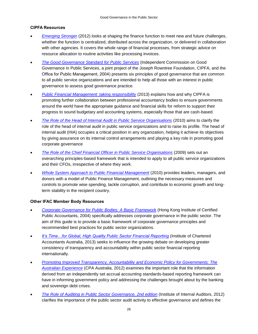#### **CIPFA Resources**

- *[Emerging Stronger](http://www.cipfa.org/-/media/Files/Publications/Reports/Emerging_Stronger)* (2012) looks at shaping the finance function to meet new and future challenges, whether the function is centralized, distributed across the organization, or delivered in collaboration with other agencies. It covers the whole range of financial processes, from strategic advice on resource allocation to routine activities like processing invoices.
- *[The Good Governance Standard for Public Services](http://www.coe.int/t/dghl/standardsetting/media/doc/Good_Gov_StandardPS_en.pdf)* (Independent Commission on Good Governance in Public Services, a joint project of the Joseph Rowntree Foundation, CIPFA, and the Office for Public Management, 2004) presents six principles of good governance that are common to all public service organizations and are intended to help all those with an interest in public governance to assess good governance practice.
- *[Public Financial Management: taking responsibility](http://www.cipfa.org/policy-and-guidance/reports/pfm-taking-responsibility)* (2013) explains how and why CIPFA is promoting further collaboration between professional accountancy bodies to ensure governments around the world have the appropriate guidance and financial skills for reform to support their progress to sound budgetary and accounting systems, especially those that are cash-based.
- *[The Role of the Head of Internal Audit in Public Service Organisations](http://www.cipfa.org/-/media/Files/Publications/Reports/Role_of_the_HIA_NOVEMBERv5.pdf)* (2010) aims to clarify the role of the head of internal audit in public service organizations and to raise its profile. The head of internal audit (HIA) occupies a critical position in any organization, helping it achieve its objectives by giving assurance on its internal control arrangements and playing a key role in promoting good corporate governance
- *[The Role of the Chief Financial Officer in Public Service Organisations](http://www.cipfa.org/policy-and-guidance/reports/the-role-of-the-chief-financial-officer-in-public-service-organisations)* (2009) sets out an overarching principles-based framework that is intended to apply to all public service organizations and their CFOs, irrespective of where they work.
- *[Whole System Approach to Public Financial Management](http://www.cipfa.org/Policy-and-Guidance/Reports/Whole-System-Approach-Volume-1)* (2010) provides leaders, managers, and donors with a model of Public Finance Management, outlining the necessary measures and controls to promote wise spending, tackle corruption, and contribute to economic growth and longterm stability in the recipient country.

### **Other IFAC Member Body Resources**

- *[Corporate Governance for Public Bodies: A Basic Framework](http://www.hkicpa.org.hk/en/membership-and-benefits/professional-representation/corporate-governance/publications/gov-publications/basic-framework/)* (Hong Kong Institute of Certified Public Accountants, 2004) specifically addresses corporate governance in the public sector. The aim of this guide is to provide a basic framework of corporate governance principles and recommended best practices for public sector organizations.
- **It's Time...for Global, High Quality Public Sector Financial Reporting (Institute of Chartered** Accountants Australia, 2013) seeks to influence the growing debate on developing greater consistency of transparency and accountability within public sector financial reporting internationally.
- *[Promoting Improved Transparency, Accountability and Economic Policy for Governments: The](http://www.cpaaustralia.com.au/~/media/Corporate/AllImages/Professional%20resources/Reporting/transparency-accountability-economic-policy.pdf)  [Australian Experience](http://www.cpaaustralia.com.au/~/media/Corporate/AllImages/Professional%20resources/Reporting/transparency-accountability-economic-policy.pdf)* (CPA Australia, 2012) examines the important role that the information derived from an independently set accrual accounting standards-based reporting framework can have in informing government policy and addressing the challenges brought about by the banking and sovereign debt crises.
- *[The Role of Auditing in Public Sector Governance, 2nd edition](https://na.theiia.org/standards-guidance/leading-practices/Pages/the-role-of-auditing-in-public-sector-governance.aspx)* (Institute of Internal Auditors, 2012) clarifies the importance of the public sector audit activity to effective governance and defines the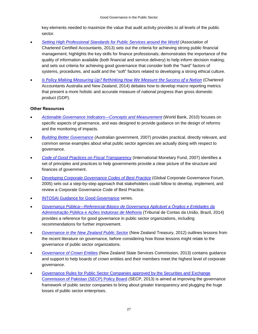key elements needed to maximize the value that audit activity provides to all levels of the public sector.

- *[Setting High Professional Standards for Public Services around the World](http://www.accaglobal.com/content/dam/acca/global/PDF-technical/public-sector/tech-tp-shps4.pdf)* (Association of Chartered Certified Accountants, 2013) sets out the criteria for achieving strong public financial management; highlights the key skills for finance professionals; demonstrates the importance of the quality of information available (both financial and service delivery) to help inform decision making; and sets out criteria for achieving good governance that consider both the "hard" factors of systems, procedures, and audit and the "soft" factors related to developing a strong ethical culture.
- *[Is Policy Making Measuring Up? Rethinking How We Measure the Success of a Nation](http://www.charteredaccountants.com.au/futureinc/Publications)* (Chartered Accountants Australia and New Zealand, 2014) debates how to develop macro reporting metrics that present a more holistic and accurate measure of national progress than gross domestic product (GDP).

#### **Other Resources**

- *[Actionable Governance Indicators—Concepts and Measurement](http://siteresources.worldbank.org/EXTPUBLICSECTORANDGOVERNANCE/Resources/286304-1235411288968/AGIConceptsMeasurement.pdf)* (World Bank, 2010) focuses on specific aspects of governance, and was designed to provide guidance on the design of reforms and the monitoring of impacts.
- *[Building Better Governance](http://www.apsc.gov.au/__data/assets/pdf_file/0010/7597/bettergovernance.pdf)* (Australian government, 2007) provides practical, directly relevant, and common sense examples about what public sector agencies are actually doing with respect to governance.
- *[Code of Good Practices on Fiscal Transparency](http://www.imf.org/external/np/fad/trans/code.htm)* (International Monetary Fund, 2007) identifies a set of principles and practices to help governments provide a clear picture of the structure and finances of government.
- *[Developing Corporate Governance Codes of Best Practice](http://www.gcgf.org/wps/wcm/connect/topics_ext_content/ifc_external_corporate_site/global+corporate+governance+forum/publications/toolkits+and+manuals/toolkit2_codes_of_best_practice)* (Global Corporate Governance Forum, 2005) sets out a step-by-step approach that stakeholders could follow to develop, implement, and review a Corporate Governance Code of Best Practice.
- **[INTOSAI Guidance for Good Governance](http://www.intosai.org/issai-executive-summaries/intosai-guidance-for-good-governance-intosai-gov.html) series.**
- *[Governança Pública—Referencial Básico de Governança Aplicável a Órgãos e Entidades da](http://portal2.tcu.gov.br/portal/pls/portal/docs/2642557.PDF)  [Administração Pública e Ações Indutoras de Melhoria](http://portal2.tcu.gov.br/portal/pls/portal/docs/2642557.PDF)* (Tribunal de Contas da União, Brazil, 2014) provides a reference for good governance in public sector organizations, including recommendations for further improvement[.](http://www.treasury.govt.nz/publications/research-policy/wp/2012/12-01/34.htm)
- *[Governance in the New Zealand Public](http://www.treasury.govt.nz/publications/research-policy/wp/2012/12-01/34.htm) Sector* (New Zealand Treasury, 2012) outlines lessons from the recent literature on governance, before considering how those lessons might relate to the governance of public sector organizations.
- *[Governance of Crown Entities](http://www.ssc.govt.nz/crown-entity-governance)* (New Zealand State Services Commission, 2013) contains guidance and support to help boards of crown entities and their members meet the highest level of corporate governance.
- [Governance Rules for Public Sector Companies approved by the Securities and Exchange](http://www.secp.gov.pk/news/PDF/News_13/PR_Jan31_2013.pdf)  [Commission of Pakistan \(SECP\) Policy Board](http://www.secp.gov.pk/news/PDF/News_13/PR_Jan31_2013.pdf) (SECP, 2013) is aimed at improving the governance framework of public sector companies to bring about greater transparency and plugging the huge losses of public sector enterprises.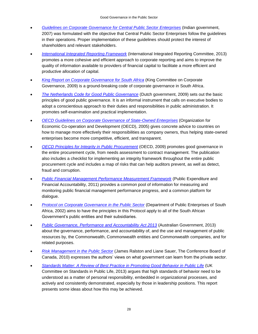- *[Guidelines on Corporate Governance for Central Public Sector](http://sfci.nic.in/pdf/DPE%20Guideline.pdf) Enterprises* (Indian government, 2007) was formulated with the objective that Central Public Sector Enterprises follow the guidelines in their operations. Proper implementation of these guidelines should protect the interest of shareholders and relevant stakeholders.
- *[International Integrated Reporting Framework](http://www.theiirc.org/international-ir-framework/)* (International Integrated Reporting Committee, 2013) promotes a more cohesive and efficient approach to corporate reporting and aims to improve the quality of information available to providers of financial capital to facilitate a more efficient and productive allocation of capital.
- *[King Report on Corporate Governance for South Africa](http://www.iodsa.co.za/?page=kingIII)* (King Committee on Corporate Governance, 2009) is a ground-breaking code of corporate governance in South Africa.
- *[The Netherlands Code for Good Public Governance](http://www.rijksoverheid.nl/documenten-en-publicaties/brochures/2009/12/29/netherlands-code-for-good-public-governance.html)* (Dutch government, 2009) sets out the basic principles of good public governance. It is an informal instrument that calls on executive bodies to adopt a conscientious approach to their duties and responsibilities in public administration. It promotes self-examination and practical implementation.
- *[OECD Guidelines on Corporate Governance of State-Owned Enterprises](http://www.oecd.org/corporate/ca/corporategovernanceofstate-ownedenterprises/oecdguidelinesoncorporategovernanceofstate-ownedenterprises.htm)* (Organization for Economic Co-operation and Development (OECD), 2005) gives concrete advice to countries on how to manage more effectively their responsibilities as company owners, thus helping state-owned enterprises become more competitive, efficient, and transparent.
- *[OECD Principles for Integrity in Public Procurement](http://www.oecd.org/gov/ethics/48994520.pdf)* (OECD, 2009) promotes good governance in the entire procurement cycle, from needs assessment to contract management. The publication also includes a checklist for implementing an integrity framework throughout the entire public procurement cycle and includes a map of risks that can help auditors prevent, as well as detect, fraud and corruption.
- *[Public Financial Management Performance Measurement Framework](http://www.pefa.org/sites/pefa.org/files/attachments/PMFEng-finalSZreprint04-12_1.pdf)* (Public Expenditure and Financial Accountability, 2011) provides a common pool of information for measuring and monitoring public financial management performance progress, and a common platform for dialogue.
- *[Protocol on Corporate Governance in the Public Sector](http://www.gov.za/documents/download.php?f=70233)* (Department of Public Enterprises of South Africa, 2002) aims to have the principles in this Protocol apply to all of the South African Government's public entities and their subsidiaries.
- *[Public Governance, Performance and Accountability Act 2013](http://www.comlaw.gov.au/Details/C2013A00123/Download)* (Australian Government, 2013) about the governance, performance, and accountability of, and the use and management of public resources by, the Commonwealth, Commonwealth entities and Commonwealth companies, and for related purposes.
- *[Risk Management in the Public Sector](http://www.conferenceboard.ca/e-library/abstract.aspx?did=3954)* (James Ralston and Liane Sauer, The Conference Board of Canada, 2010) expresses the authors' views on what government can learn from the private sector.
- *Standards Matter*: *[A Review of Best Practice in Promoting Good Behavior in Public Life](http://www.official-documents.gov.uk/document/cm85/8519/8519.pdf)* (UK Committee on Standards in Public Life, 2013) argues that high standards of behavior need to be understood as a matter of personal responsibility, embedded in organizational processes, and actively and consistently demonstrated, especially by those in leadership positions. This report presents some ideas about how this may be achieved.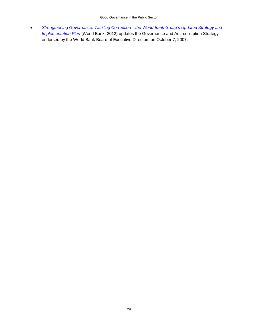*[Strengthening Governance: Tackling Corruption—the World Bank Group's Updated Strategy and](http://web.worldbank.org/WBSITE/EXTERNAL/TOPICS/EXTGOVANTICORR/0,,contentMDK:23086675~menuPK:8517250~pagePK:148956~piPK:216618~theSitePK:3035864,00.html)  [Implementation Plan](http://web.worldbank.org/WBSITE/EXTERNAL/TOPICS/EXTGOVANTICORR/0,,contentMDK:23086675~menuPK:8517250~pagePK:148956~piPK:216618~theSitePK:3035864,00.html)* (World Bank, 2012) updates the Governance and Anti-corruption Strategy endorsed by the World Bank Board of Executive Directors on October 7, 2007.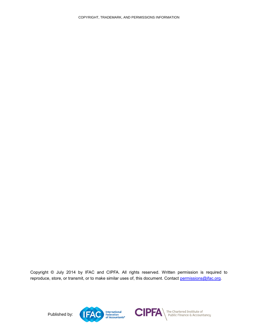<span id="page-29-0"></span>Copyright © July 2014 by IFAC and CIPFA. All rights reserved. Written permission is required to reproduce, store, or transmit, or to make similar uses of, this document. Contact [permissions@ifac.org.](mailto:permissions@ifac.org)

Published by: